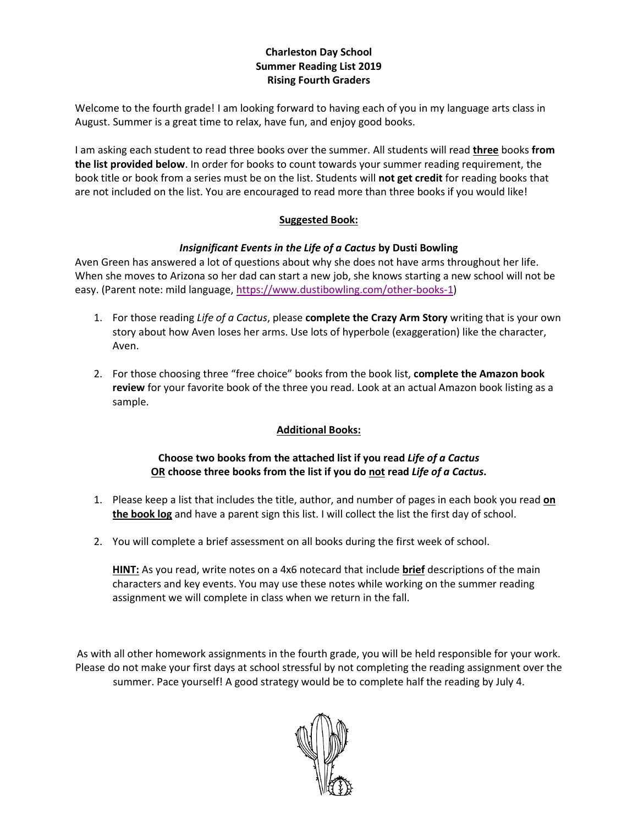#### **Charleston Day School Summer Reading List 2019 Rising Fourth Graders**

Welcome to the fourth grade! I am looking forward to having each of you in my language arts class in August. Summer is a great time to relax, have fun, and enjoy good books.

I am asking each student to read three books over the summer. All students will read **three** books **from the list provided below**. In order for books to count towards your summer reading requirement, the book title or book from a series must be on the list. Students will **not get credit** for reading books that are not included on the list. You are encouraged to read more than three books if you would like!

#### **Suggested Book:**

#### *Insignificant Events in the Life of a Cactus* **by Dusti Bowling**

Aven Green has answered a lot of questions about why she does not have arms throughout her life. When she moves to Arizona so her dad can start a new job, she knows starting a new school will not be easy. (Parent note: mild language, [https://www.dustibowling.com/other-books-1\)](https://www.dustibowling.com/other-books-1)

- 1. For those reading *Life of a Cactus*, please **complete the Crazy Arm Story** writing that is your own story about how Aven loses her arms. Use lots of hyperbole (exaggeration) like the character, Aven.
- 2. For those choosing three "free choice" books from the book list, **complete the Amazon book review** for your favorite book of the three you read. Look at an actual Amazon book listing as a sample.

#### **Additional Books:**

#### **Choose two books from the attached list if you read** *Life of a Cactus* **OR choose three books from the list if you do not read** *Life of a Cactus***.**

- 1. Please keep a list that includes the title, author, and number of pages in each book you read **on the book log** and have a parent sign this list. I will collect the list the first day of school.
- 2. You will complete a brief assessment on all books during the first week of school.

**HINT:** As you read, write notes on a 4x6 notecard that include **brief** descriptions of the main characters and key events. You may use these notes while working on the summer reading assignment we will complete in class when we return in the fall.

As with all other homework assignments in the fourth grade, you will be held responsible for your work. Please do not make your first days at school stressful by not completing the reading assignment over the summer. Pace yourself! A good strategy would be to complete half the reading by July 4.

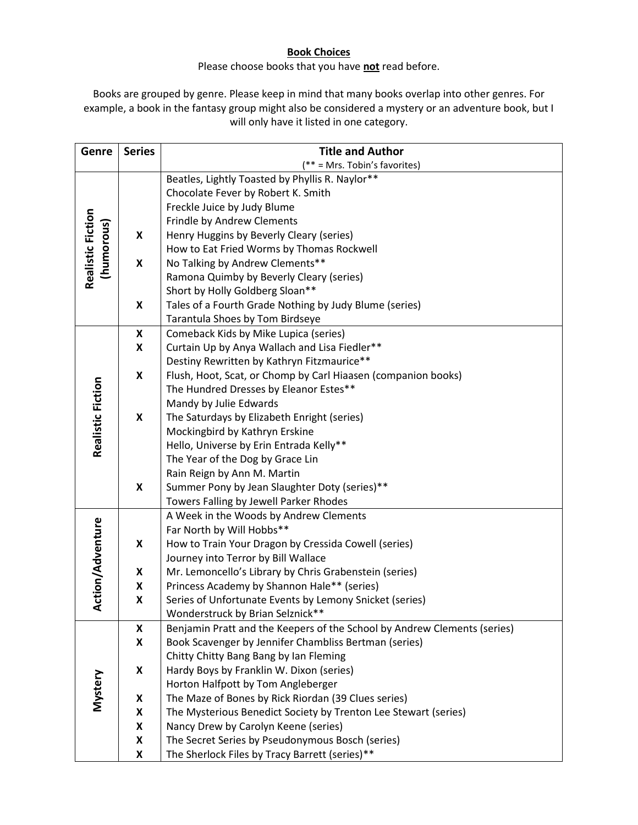#### **Book Choices**

### Please choose books that you have **not** read before.

Books are grouped by genre. Please keep in mind that many books overlap into other genres. For example, a book in the fantasy group might also be considered a mystery or an adventure book, but I will only have it listed in one category.

| Genre                   | <b>Series</b>           | <b>Title and Author</b>                                                                                 |  |  |  |  |  |  |
|-------------------------|-------------------------|---------------------------------------------------------------------------------------------------------|--|--|--|--|--|--|
|                         |                         | (** = Mrs. Tobin's favorites)                                                                           |  |  |  |  |  |  |
|                         |                         | Beatles, Lightly Toasted by Phyllis R. Naylor**                                                         |  |  |  |  |  |  |
|                         |                         | Chocolate Fever by Robert K. Smith                                                                      |  |  |  |  |  |  |
|                         |                         | Freckle Juice by Judy Blume                                                                             |  |  |  |  |  |  |
|                         |                         | Frindle by Andrew Clements                                                                              |  |  |  |  |  |  |
| (humorous)              | X                       | Henry Huggins by Beverly Cleary (series)                                                                |  |  |  |  |  |  |
|                         |                         | How to Eat Fried Worms by Thomas Rockwell                                                               |  |  |  |  |  |  |
|                         | $\pmb{\mathsf{x}}$      | No Talking by Andrew Clements**                                                                         |  |  |  |  |  |  |
| Realistic Fiction       |                         | Ramona Quimby by Beverly Cleary (series)                                                                |  |  |  |  |  |  |
|                         |                         | Short by Holly Goldberg Sloan**                                                                         |  |  |  |  |  |  |
|                         | X                       | Tales of a Fourth Grade Nothing by Judy Blume (series)                                                  |  |  |  |  |  |  |
|                         |                         | Tarantula Shoes by Tom Birdseye                                                                         |  |  |  |  |  |  |
|                         | X                       | Comeback Kids by Mike Lupica (series)                                                                   |  |  |  |  |  |  |
|                         | $\pmb{\mathsf{X}}$      | Curtain Up by Anya Wallach and Lisa Fiedler**                                                           |  |  |  |  |  |  |
|                         |                         | Destiny Rewritten by Kathryn Fitzmaurice**                                                              |  |  |  |  |  |  |
|                         | $\pmb{\mathsf{X}}$      | Flush, Hoot, Scat, or Chomp by Carl Hiaasen (companion books)                                           |  |  |  |  |  |  |
|                         |                         | The Hundred Dresses by Eleanor Estes**                                                                  |  |  |  |  |  |  |
|                         |                         | Mandy by Julie Edwards                                                                                  |  |  |  |  |  |  |
| Realistic Fiction       | X                       | The Saturdays by Elizabeth Enright (series)                                                             |  |  |  |  |  |  |
|                         |                         | Mockingbird by Kathryn Erskine                                                                          |  |  |  |  |  |  |
|                         |                         | Hello, Universe by Erin Entrada Kelly**                                                                 |  |  |  |  |  |  |
|                         |                         | The Year of the Dog by Grace Lin                                                                        |  |  |  |  |  |  |
|                         |                         | Rain Reign by Ann M. Martin                                                                             |  |  |  |  |  |  |
|                         | X                       | Summer Pony by Jean Slaughter Doty (series)**                                                           |  |  |  |  |  |  |
|                         |                         | Towers Falling by Jewell Parker Rhodes                                                                  |  |  |  |  |  |  |
|                         |                         | A Week in the Woods by Andrew Clements                                                                  |  |  |  |  |  |  |
|                         |                         | Far North by Will Hobbs**                                                                               |  |  |  |  |  |  |
|                         | X                       | How to Train Your Dragon by Cressida Cowell (series)                                                    |  |  |  |  |  |  |
| <b>Action/Adventure</b> |                         | Journey into Terror by Bill Wallace                                                                     |  |  |  |  |  |  |
|                         | $\pmb{\mathsf{X}}$      | Mr. Lemoncello's Library by Chris Grabenstein (series)                                                  |  |  |  |  |  |  |
|                         | $\pmb{\mathsf{X}}$      | Princess Academy by Shannon Hale** (series)                                                             |  |  |  |  |  |  |
|                         | $\pmb{\mathsf{X}}$      | Series of Unfortunate Events by Lemony Snicket (series)                                                 |  |  |  |  |  |  |
|                         |                         | Wonderstruck by Brian Selznick**                                                                        |  |  |  |  |  |  |
|                         | $\pmb{\mathsf{X}}$      | Benjamin Pratt and the Keepers of the School by Andrew Clements (series)                                |  |  |  |  |  |  |
|                         | X                       | Book Scavenger by Jennifer Chambliss Bertman (series)                                                   |  |  |  |  |  |  |
|                         |                         | Chitty Chitty Bang Bang by Ian Fleming                                                                  |  |  |  |  |  |  |
| Mystery                 | X                       | Hardy Boys by Franklin W. Dixon (series)                                                                |  |  |  |  |  |  |
|                         |                         | Horton Halfpott by Tom Angleberger                                                                      |  |  |  |  |  |  |
|                         | X<br>$\pmb{\mathsf{X}}$ | The Maze of Bones by Rick Riordan (39 Clues series)                                                     |  |  |  |  |  |  |
|                         | $\pmb{\mathsf{X}}$      | The Mysterious Benedict Society by Trenton Lee Stewart (series)<br>Nancy Drew by Carolyn Keene (series) |  |  |  |  |  |  |
|                         | $\pmb{\mathsf{X}}$      | The Secret Series by Pseudonymous Bosch (series)                                                        |  |  |  |  |  |  |
|                         |                         | The Sherlock Files by Tracy Barrett (series)**                                                          |  |  |  |  |  |  |
|                         | $\pmb{\mathsf{X}}$      |                                                                                                         |  |  |  |  |  |  |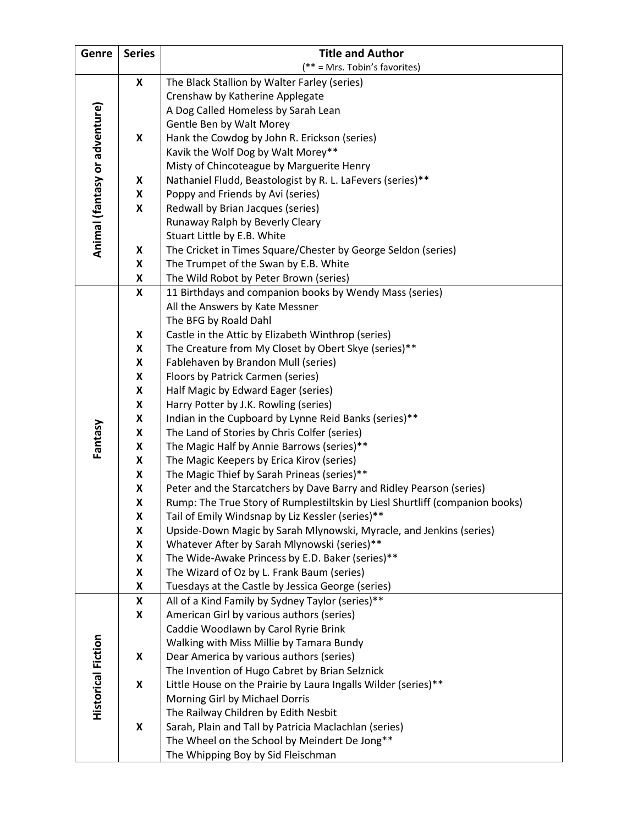| Genre                         | <b>Series</b> | <b>Title and Author</b>                                                                                                          |  |  |  |  |  |
|-------------------------------|---------------|----------------------------------------------------------------------------------------------------------------------------------|--|--|--|--|--|
|                               |               | (** = Mrs. Tobin's favorites)                                                                                                    |  |  |  |  |  |
|                               | X             | The Black Stallion by Walter Farley (series)                                                                                     |  |  |  |  |  |
|                               |               | Crenshaw by Katherine Applegate                                                                                                  |  |  |  |  |  |
|                               |               | A Dog Called Homeless by Sarah Lean                                                                                              |  |  |  |  |  |
| Animal (fantasy or adventure) |               | Gentle Ben by Walt Morey                                                                                                         |  |  |  |  |  |
|                               | X             | Hank the Cowdog by John R. Erickson (series)                                                                                     |  |  |  |  |  |
|                               |               | Kavik the Wolf Dog by Walt Morey**                                                                                               |  |  |  |  |  |
|                               |               | Misty of Chincoteague by Marguerite Henry                                                                                        |  |  |  |  |  |
|                               | X             | Nathaniel Fludd, Beastologist by R. L. LaFevers (series)**                                                                       |  |  |  |  |  |
|                               | X             | Poppy and Friends by Avi (series)                                                                                                |  |  |  |  |  |
|                               | X             | Redwall by Brian Jacques (series)                                                                                                |  |  |  |  |  |
|                               |               | Runaway Ralph by Beverly Cleary                                                                                                  |  |  |  |  |  |
|                               |               | Stuart Little by E.B. White                                                                                                      |  |  |  |  |  |
|                               | X             | The Cricket in Times Square/Chester by George Seldon (series)                                                                    |  |  |  |  |  |
|                               | X             | The Trumpet of the Swan by E.B. White                                                                                            |  |  |  |  |  |
|                               | X             | The Wild Robot by Peter Brown (series)                                                                                           |  |  |  |  |  |
|                               | X             | 11 Birthdays and companion books by Wendy Mass (series)                                                                          |  |  |  |  |  |
|                               |               | All the Answers by Kate Messner                                                                                                  |  |  |  |  |  |
|                               |               | The BFG by Roald Dahl                                                                                                            |  |  |  |  |  |
|                               | X             | Castle in the Attic by Elizabeth Winthrop (series)                                                                               |  |  |  |  |  |
|                               | X             | The Creature from My Closet by Obert Skye (series)**                                                                             |  |  |  |  |  |
|                               | X             | Fablehaven by Brandon Mull (series)                                                                                              |  |  |  |  |  |
|                               | X             | Floors by Patrick Carmen (series)                                                                                                |  |  |  |  |  |
|                               | X             | Half Magic by Edward Eager (series)                                                                                              |  |  |  |  |  |
|                               | X             | Harry Potter by J.K. Rowling (series)                                                                                            |  |  |  |  |  |
|                               | X             | Indian in the Cupboard by Lynne Reid Banks (series)**                                                                            |  |  |  |  |  |
| Fantasy                       | X             | The Land of Stories by Chris Colfer (series)                                                                                     |  |  |  |  |  |
|                               | X             | The Magic Half by Annie Barrows (series)**                                                                                       |  |  |  |  |  |
|                               | X             | The Magic Keepers by Erica Kirov (series)                                                                                        |  |  |  |  |  |
|                               | X             | The Magic Thief by Sarah Prineas (series)**                                                                                      |  |  |  |  |  |
|                               | X             | Peter and the Starcatchers by Dave Barry and Ridley Pearson (series)                                                             |  |  |  |  |  |
|                               | X<br>X        | Rump: The True Story of Rumplestiltskin by Liesl Shurtliff (companion books)<br>Tail of Emily Windsnap by Liz Kessler (series)** |  |  |  |  |  |
|                               | X             | Upside-Down Magic by Sarah Mlynowski, Myracle, and Jenkins (series)                                                              |  |  |  |  |  |
|                               | X             | Whatever After by Sarah Mlynowski (series)**                                                                                     |  |  |  |  |  |
|                               | X             | The Wide-Awake Princess by E.D. Baker (series)**                                                                                 |  |  |  |  |  |
|                               | X             | The Wizard of Oz by L. Frank Baum (series)                                                                                       |  |  |  |  |  |
|                               | X             | Tuesdays at the Castle by Jessica George (series)                                                                                |  |  |  |  |  |
|                               | X             | All of a Kind Family by Sydney Taylor (series)**                                                                                 |  |  |  |  |  |
|                               | X             | American Girl by various authors (series)                                                                                        |  |  |  |  |  |
|                               |               | Caddie Woodlawn by Carol Ryrie Brink                                                                                             |  |  |  |  |  |
|                               |               | Walking with Miss Millie by Tamara Bundy                                                                                         |  |  |  |  |  |
|                               | X             | Dear America by various authors (series)                                                                                         |  |  |  |  |  |
| <b>Historical Fiction</b>     |               | The Invention of Hugo Cabret by Brian Selznick                                                                                   |  |  |  |  |  |
|                               | X             | Little House on the Prairie by Laura Ingalls Wilder (series)**                                                                   |  |  |  |  |  |
|                               |               | Morning Girl by Michael Dorris                                                                                                   |  |  |  |  |  |
|                               |               | The Railway Children by Edith Nesbit                                                                                             |  |  |  |  |  |
|                               | X             | Sarah, Plain and Tall by Patricia Maclachlan (series)                                                                            |  |  |  |  |  |
|                               |               | The Wheel on the School by Meindert De Jong**                                                                                    |  |  |  |  |  |
|                               |               | The Whipping Boy by Sid Fleischman                                                                                               |  |  |  |  |  |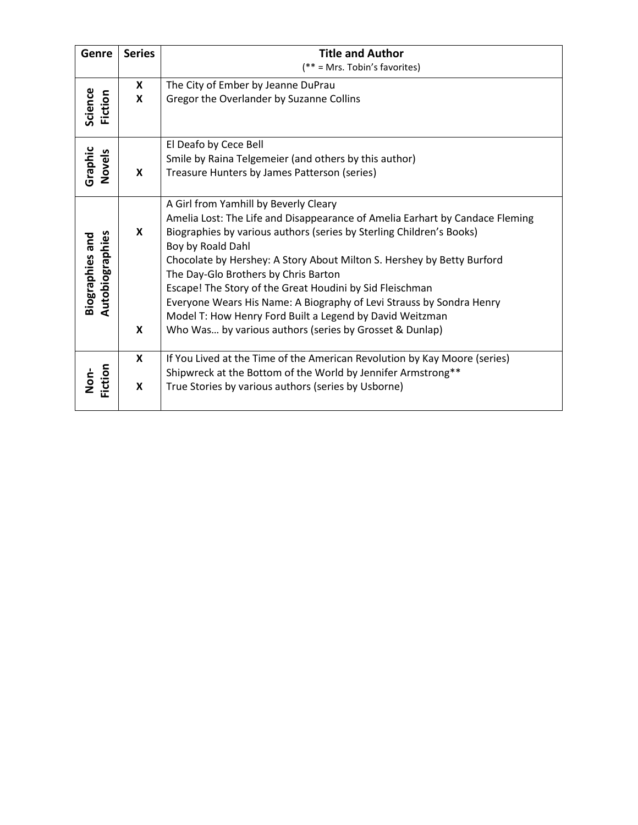| Genre                                     | <b>Series</b> | <b>Title and Author</b>                                                                   |  |  |  |  |  |
|-------------------------------------------|---------------|-------------------------------------------------------------------------------------------|--|--|--|--|--|
|                                           |               | $(** = Mrs. Tobin's favorites)$                                                           |  |  |  |  |  |
|                                           | X             | The City of Ember by Jeanne DuPrau                                                        |  |  |  |  |  |
|                                           | X             | Gregor the Overlander by Suzanne Collins                                                  |  |  |  |  |  |
| Science<br>Fiction                        |               |                                                                                           |  |  |  |  |  |
|                                           |               | El Deafo by Cece Bell                                                                     |  |  |  |  |  |
|                                           |               | Smile by Raina Telgemeier (and others by this author)                                     |  |  |  |  |  |
| Graphic<br>Novels                         | X             | Treasure Hunters by James Patterson (series)                                              |  |  |  |  |  |
|                                           |               |                                                                                           |  |  |  |  |  |
|                                           |               | A Girl from Yamhill by Beverly Cleary                                                     |  |  |  |  |  |
|                                           | X             | Amelia Lost: The Life and Disappearance of Amelia Earhart by Candace Fleming              |  |  |  |  |  |
|                                           |               | Biographies by various authors (series by Sterling Children's Books)<br>Boy by Roald Dahl |  |  |  |  |  |
|                                           |               | Chocolate by Hershey: A Story About Milton S. Hershey by Betty Burford                    |  |  |  |  |  |
| Autobiographies<br><b>Biographies and</b> |               | The Day-Glo Brothers by Chris Barton                                                      |  |  |  |  |  |
|                                           |               | Escape! The Story of the Great Houdini by Sid Fleischman                                  |  |  |  |  |  |
|                                           |               | Everyone Wears His Name: A Biography of Levi Strauss by Sondra Henry                      |  |  |  |  |  |
|                                           |               | Model T: How Henry Ford Built a Legend by David Weitzman                                  |  |  |  |  |  |
|                                           | X             | Who Was by various authors (series by Grosset & Dunlap)                                   |  |  |  |  |  |
|                                           |               |                                                                                           |  |  |  |  |  |
|                                           | X             | If You Lived at the Time of the American Revolution by Kay Moore (series)                 |  |  |  |  |  |
| Fiction<br>Non-                           | X             | Shipwreck at the Bottom of the World by Jennifer Armstrong**                              |  |  |  |  |  |
|                                           |               | True Stories by various authors (series by Usborne)                                       |  |  |  |  |  |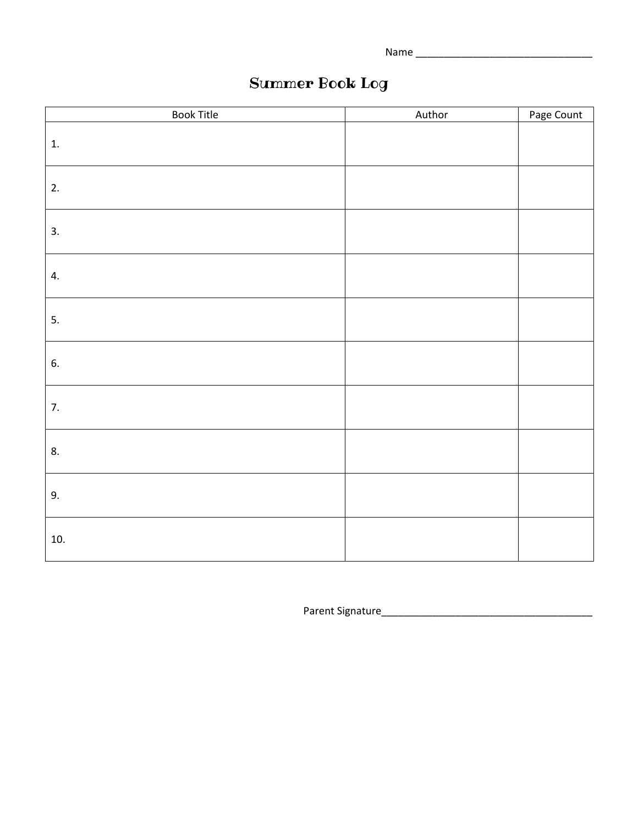Name \_\_\_\_\_\_\_\_\_\_\_\_\_\_\_\_\_\_\_\_\_\_\_\_\_\_\_\_\_\_\_

# Summer Book Log

| <b>Book Title</b> | Author | Page Count |
|-------------------|--------|------------|
| 1.                |        |            |
| 2.                |        |            |
| 3.                |        |            |
| 4.                |        |            |
| 5.                |        |            |
| 6.                |        |            |
| 7.                |        |            |
| 8.                |        |            |
| 9.                |        |            |
| 10.               |        |            |

Parent Signature\_\_\_\_\_\_\_\_\_\_\_\_\_\_\_\_\_\_\_\_\_\_\_\_\_\_\_\_\_\_\_\_\_\_\_\_\_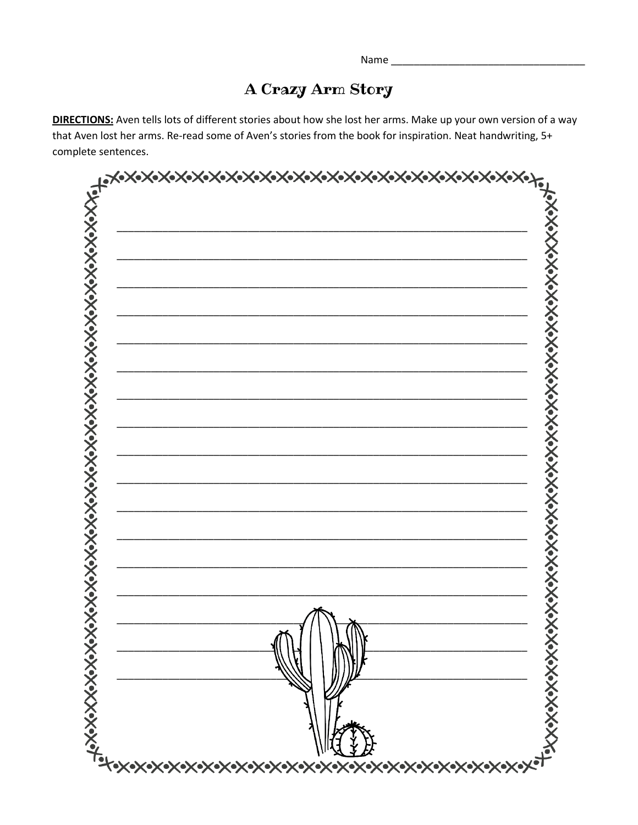## A Crazy Arm Story

DIRECTIONS: Aven tells lots of different stories about how she lost her arms. Make up your own version of a way that Aven lost her arms. Re-read some of Aven's stories from the book for inspiration. Neat handwriting, 5+ complete sentences.